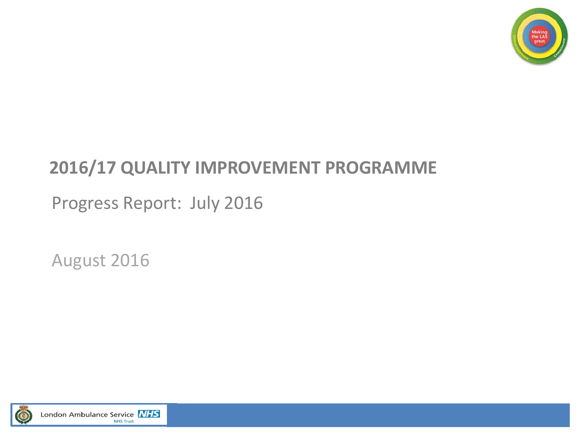

### **2016/17 QUALITY IMPROVEMENT PROGRAMME**

Progress Report: July 2016

August 2016

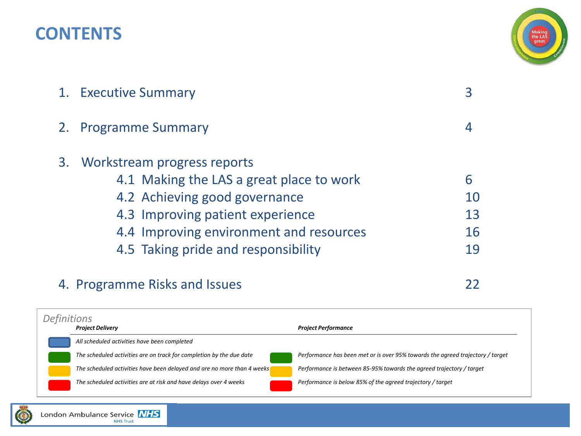### **CONTENTS**



| 1. Executive Summary                                                                                                                                                                                                              |                           |
|-----------------------------------------------------------------------------------------------------------------------------------------------------------------------------------------------------------------------------------|---------------------------|
| 2. Programme Summary                                                                                                                                                                                                              |                           |
| 3. Workstream progress reports<br>4.1 Making the LAS a great place to work<br>4.2 Achieving good governance<br>4.3 Improving patient experience<br>4.4 Improving environment and resources<br>4.5 Taking pride and responsibility | 6<br>10<br>13<br>16<br>19 |
|                                                                                                                                                                                                                                   |                           |

### 4. Programme Risks and Issues 22

*Project Delivery Project Performance All scheduled activities have been completed The scheduled activities are on track for completion by the due date Performance has been met or is over 95% towards the agreed trajectory / target The scheduled activities have been delayed and are no more than 4 weeks Performance is between 85-95% towards the agreed trajectory / target The scheduled activities are at risk and have delays over 4 weeks Performance is below 85% of the agreed trajectory / target Definitions*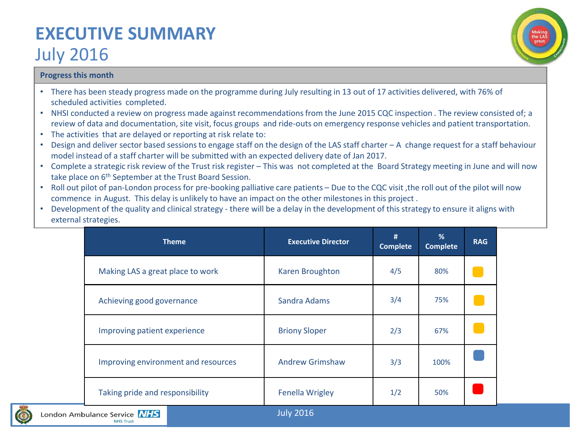### **EXECUTIVE SUMMARY**  July 2016



### **Progress this month**

- There has been steady progress made on the programme during July resulting in 13 out of 17 activities delivered, with 76% of scheduled activities completed.
- NHSI conducted a review on progress made against recommendations from the June 2015 CQC inspection . The review consisted of; a review of data and documentation, site visit, focus groups and ride-outs on emergency response vehicles and patient transportation.
- The activities that are delayed or reporting at risk relate to:
- Design and deliver sector based sessions to engage staff on the design of the LAS staff charter A change request for a staff behaviour model instead of a staff charter will be submitted with an expected delivery date of Jan 2017.
- Complete a strategic risk review of the Trust risk register This was not completed at the Board Strategy meeting in June and will now take place on 6<sup>th</sup> September at the Trust Board Session.
- Roll out pilot of pan-London process for pre-booking palliative care patients Due to the CQC visit, the roll out of the pilot will now commence in August. This delay is unlikely to have an impact on the other milestones in this project .
- Development of the quality and clinical strategy there will be a delay in the development of this strategy to ensure it aligns with external strategies.

| <b>Theme</b>                        | <b>Executive Director</b> | #<br><b>Complete</b> | %<br><b>Complete</b> | <b>RAG</b> |
|-------------------------------------|---------------------------|----------------------|----------------------|------------|
| Making LAS a great place to work    | Karen Broughton           | 4/5                  | 80%                  |            |
| Achieving good governance           | Sandra Adams              | 3/4                  | 75%                  |            |
| Improving patient experience        | <b>Briony Sloper</b>      | 2/3                  | 67%                  |            |
| Improving environment and resources | <b>Andrew Grimshaw</b>    | 3/3                  | 100%                 |            |
| Taking pride and responsibility     | <b>Fenella Wrigley</b>    | 1/2                  | 50%                  |            |

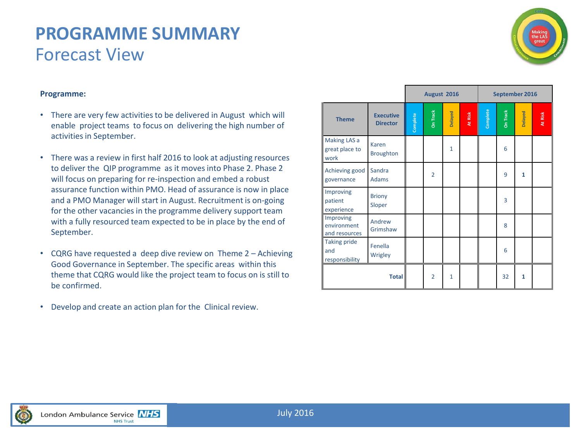### **PROGRAMME SUMMARY** Forecast View



#### **Programme:**

- There are very few activities to be delivered in August which will enable project teams to focus on delivering the high number of activities in September.
- There was a review in first half 2016 to look at adjusting resources to deliver the QIP programme as it moves into Phase 2. Phase 2 will focus on preparing for re-inspection and embed a robust assurance function within PMO. Head of assurance is now in place and a PMO Manager will start in August. Recruitment is on-going for the other vacancies in the programme delivery support team with a fully resourced team expected to be in place by the end of September.
- CQRG have requested a deep dive review on Theme 2 Achieving Good Governance in September. The specific areas within this theme that CQRG would like the project team to focus on is still to be confirmed.
- Develop and create an action plan for the Clinical review.

|                                               |                                     |          | August 2016    |              |         | September 2016 |          |              |         |  |
|-----------------------------------------------|-------------------------------------|----------|----------------|--------------|---------|----------------|----------|--------------|---------|--|
| <b>Theme</b>                                  | <b>Executive</b><br><b>Director</b> | Complete | On Track       | Delayed      | At Risk | Complete<br>I  | On Track | Delayed      | At Risk |  |
| <b>Making LAS a</b><br>great place to<br>work | Karen<br><b>Broughton</b>           |          |                | $\mathbf{1}$ |         |                | 6        |              |         |  |
| Achieving good<br>governance                  | Sandra<br><b>Adams</b>              |          | $\overline{2}$ |              |         |                | 9        | $\mathbf{1}$ |         |  |
| Improving<br>patient<br>experience            | <b>Briony</b><br>Sloper             |          |                |              |         |                | 3        |              |         |  |
| Improving<br>environment<br>and resources     | Andrew<br>Grimshaw                  |          |                |              |         |                | 8        |              |         |  |
| <b>Taking pride</b><br>and<br>responsibility  | Fenella<br>Wrigley                  |          |                |              |         |                | 6        |              |         |  |
|                                               | <b>Total</b>                        |          | $\overline{2}$ | $\mathbf{1}$ |         |                | 32       | 1            |         |  |

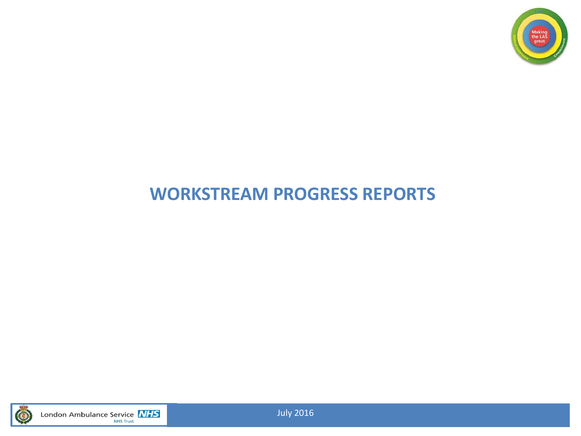

### **WORKSTREAM PROGRESS REPORTS**



London Ambulance Service **NHS** 

July 2016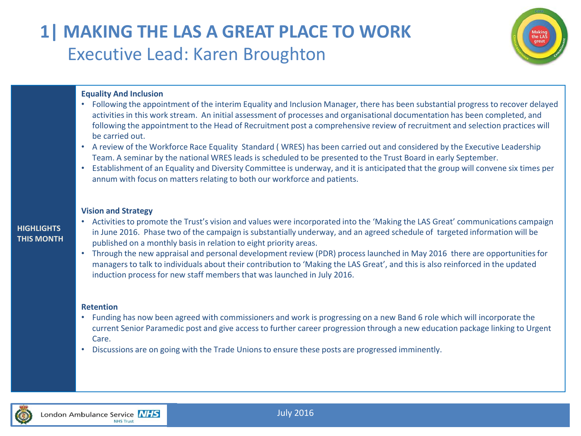### **1| MAKING THE LAS A GREAT PLACE TO WORK** Executive Lead: Karen Broughton



#### **Equality And Inclusion**

- Following the appointment of the interim Equality and Inclusion Manager, there has been substantial progress to recover delayed activities in this work stream. An initial assessment of processes and organisational documentation has been completed, and following the appointment to the Head of Recruitment post a comprehensive review of recruitment and selection practices will be carried out.
- A review of the Workforce Race Equality Standard ( WRES) has been carried out and considered by the Executive Leadership Team. A seminar by the national WRES leads is scheduled to be presented to the Trust Board in early September.
- Establishment of an Equality and Diversity Committee is underway, and it is anticipated that the group will convene six times per annum with focus on matters relating to both our workforce and patients.

#### **Vision and Strategy**

- Activities to promote the Trust's vision and values were incorporated into the 'Making the LAS Great' communications campaign in June 2016. Phase two of the campaign is substantially underway, and an agreed schedule of targeted information will be published on a monthly basis in relation to eight priority areas.
- Through the new appraisal and personal development review (PDR) process launched in May 2016 there are opportunities for managers to talk to individuals about their contribution to 'Making the LAS Great', and this is also reinforced in the updated induction process for new staff members that was launched in July 2016.

#### **Retention**

- Funding has now been agreed with commissioners and work is progressing on a new Band 6 role which will incorporate the current Senior Paramedic post and give access to further career progression through a new education package linking to Urgent Care.
- Discussions are on going with the Trade Unions to ensure these posts are progressed imminently.



**HIGHLIGHTS THIS MONTH**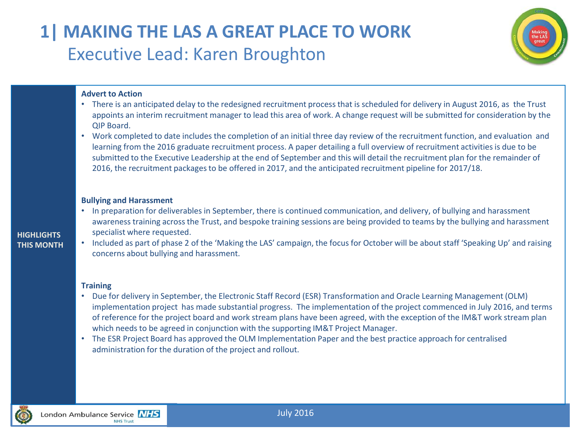### **1| MAKING THE LAS A GREAT PLACE TO WORK** Executive Lead: Karen Broughton



### **Advert to Action**

- There is an anticipated delay to the redesigned recruitment process that is scheduled for delivery in August 2016, as the Trust appoints an interim recruitment manager to lead this area of work. A change request will be submitted for consideration by the QIP Board.
- Work completed to date includes the completion of an initial three day review of the recruitment function, and evaluation and learning from the 2016 graduate recruitment process. A paper detailing a full overview of recruitment activities is due to be submitted to the Executive Leadership at the end of September and this will detail the recruitment plan for the remainder of 2016, the recruitment packages to be offered in 2017, and the anticipated recruitment pipeline for 2017/18.

#### **Bullying and Harassment**

- In preparation for deliverables in September, there is continued communication, and delivery, of bullying and harassment awareness training across the Trust, and bespoke training sessions are being provided to teams by the bullying and harassment specialist where requested.
- **HIGHLIGHTS THIS MONTH**
- Included as part of phase 2 of the 'Making the LAS' campaign, the focus for October will be about staff 'Speaking Up' and raising concerns about bullying and harassment.

#### **Training**

- Due for delivery in September, the Electronic Staff Record (ESR) Transformation and Oracle Learning Management (OLM) implementation project has made substantial progress. The implementation of the project commenced in July 2016, and terms of reference for the project board and work stream plans have been agreed, with the exception of the IM&T work stream plan which needs to be agreed in conjunction with the supporting IM&T Project Manager.
- The ESR Project Board has approved the OLM Implementation Paper and the best practice approach for centralised administration for the duration of the project and rollout.

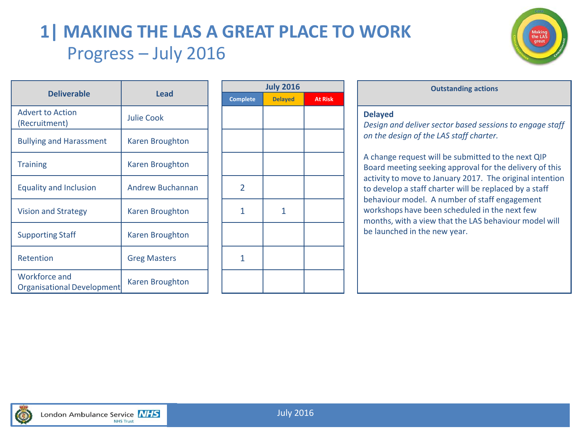### **1| MAKING THE LAS A GREAT PLACE TO WORK** Progress – July 2016



|                                             | <b>Lead</b>             |  |                 |                |                |                               |
|---------------------------------------------|-------------------------|--|-----------------|----------------|----------------|-------------------------------|
| <b>Deliverable</b>                          |                         |  | <b>Complete</b> | <b>Delayed</b> | <b>At Risk</b> |                               |
| <b>Advert to Action</b><br>(Recruitment)    | <b>Julie Cook</b>       |  |                 |                |                | <b>Delayed</b><br>Design a    |
| <b>Bullying and Harassment</b>              | Karen Broughton         |  |                 |                |                | on the d                      |
| <b>Training</b>                             | Karen Broughton         |  |                 |                |                | A change<br><b>Board</b> m    |
| <b>Equality and Inclusion</b>               | <b>Andrew Buchannan</b> |  | $\overline{2}$  |                |                | activity t<br>to devel        |
| <b>Vision and Strategy</b>                  | Karen Broughton         |  | 1               | 1              |                | behavio<br>worksho<br>months, |
| <b>Supporting Staff</b>                     | Karen Broughton         |  |                 |                |                | be launc                      |
| Retention                                   | <b>Greg Masters</b>     |  | 1               |                |                |                               |
| Workforce and<br>Organisational Development | Karen Broughton         |  |                 |                |                |                               |

| <b>July 2016</b> |                |                |  |  |  |  |  |  |  |
|------------------|----------------|----------------|--|--|--|--|--|--|--|
| <b>Complete</b>  | <b>Delayed</b> | <b>At Risk</b> |  |  |  |  |  |  |  |
|                  |                |                |  |  |  |  |  |  |  |
|                  |                |                |  |  |  |  |  |  |  |
|                  |                |                |  |  |  |  |  |  |  |
| $\overline{2}$   |                |                |  |  |  |  |  |  |  |
| 1                | $\mathbf{1}$   |                |  |  |  |  |  |  |  |
|                  |                |                |  |  |  |  |  |  |  |
| 1                |                |                |  |  |  |  |  |  |  |
|                  |                |                |  |  |  |  |  |  |  |

| <b>July 2016</b> |                | <b>Outstanding actions</b>                                                                                                                              |
|------------------|----------------|---------------------------------------------------------------------------------------------------------------------------------------------------------|
| <b>Delayed</b>   | <b>At Risk</b> |                                                                                                                                                         |
|                  |                | <b>Delayed</b><br>Design and deliver sector based sessions to engage staff<br>on the design of the LAS staff charter.                                   |
|                  |                | A change request will be submitted to the next QIP<br>Board meeting seeking approval for the delivery of this                                           |
|                  |                | activity to move to January 2017. The original intention<br>to develop a staff charter will be replaced by a staff                                      |
|                  |                | behaviour model. A number of staff engagement<br>workshops have been scheduled in the next few<br>months, with a view that the LAS behaviour model will |

be launched in the new year.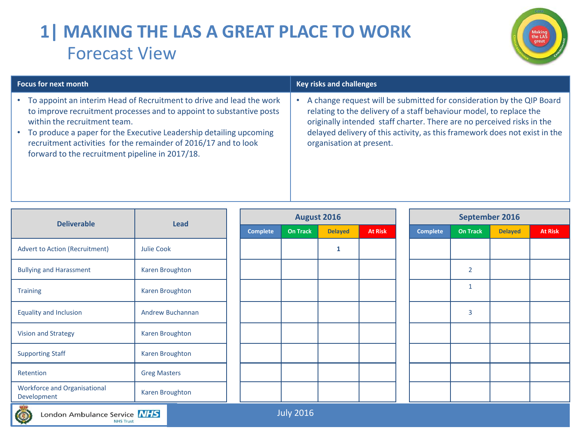# **1| MAKING THE LAS A GREAT PLACE TO WORK** Forecast View



| <b>Focus for next month</b>                                                                                                                                                                                                                                                                                                                                              | <b>Key risks and challenges</b>                                                                                                                                                                                                                                                                                                  |
|--------------------------------------------------------------------------------------------------------------------------------------------------------------------------------------------------------------------------------------------------------------------------------------------------------------------------------------------------------------------------|----------------------------------------------------------------------------------------------------------------------------------------------------------------------------------------------------------------------------------------------------------------------------------------------------------------------------------|
| To appoint an interim Head of Recruitment to drive and lead the work<br>to improve recruitment processes and to appoint to substantive posts<br>within the recruitment team.<br>To produce a paper for the Executive Leadership detailing upcoming<br>recruitment activities for the remainder of 2016/17 and to look<br>forward to the recruitment pipeline in 2017/18. | A change request will be submitted for consideration by the QIP Board<br>relating to the delivery of a staff behaviour model, to replace the<br>originally intended staff charter. There are no perceived risks in the<br>delayed delivery of this activity, as this framework does not exist in the<br>organisation at present. |

| <b>Deliverable</b>                                 |                        |                 | August 2016     |                |                | September 2016 |                 |                 |                |                |
|----------------------------------------------------|------------------------|-----------------|-----------------|----------------|----------------|----------------|-----------------|-----------------|----------------|----------------|
|                                                    | Lead                   | <b>Complete</b> | <b>On Track</b> | <b>Delayed</b> | <b>At Risk</b> |                | <b>Complete</b> | <b>On Track</b> | <b>Delayed</b> | <b>At Risk</b> |
| <b>Advert to Action (Recruitment)</b>              | Julie Cook             |                 |                 | 1              |                |                |                 |                 |                |                |
| <b>Bullying and Harassment</b>                     | Karen Broughton        |                 |                 |                |                |                |                 | $\overline{2}$  |                |                |
| <b>Training</b>                                    | Karen Broughton        |                 |                 |                |                |                |                 | $\mathbf{1}$    |                |                |
| <b>Equality and Inclusion</b>                      | Andrew Buchannan       |                 |                 |                |                |                |                 | 3               |                |                |
| <b>Vision and Strategy</b>                         | Karen Broughton        |                 |                 |                |                |                |                 |                 |                |                |
| <b>Supporting Staff</b>                            | <b>Karen Broughton</b> |                 |                 |                |                |                |                 |                 |                |                |
| Retention                                          | <b>Greg Masters</b>    |                 |                 |                |                |                |                 |                 |                |                |
| <b>Workforce and Organisational</b><br>Development | Karen Broughton        |                 |                 |                |                |                |                 |                 |                |                |
| 95.69                                              |                        |                 |                 |                |                |                |                 |                 |                |                |

July 2016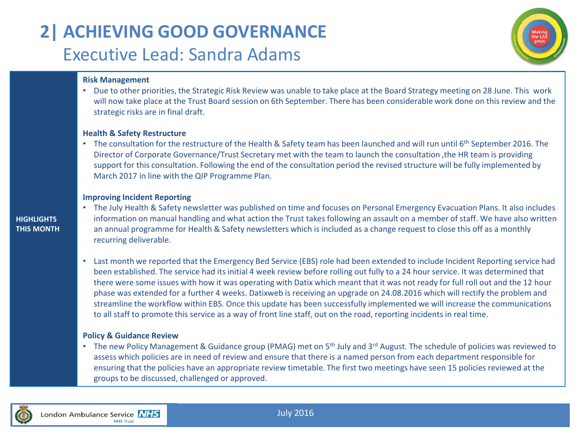# **2| ACHIEVING GOOD GOVERNANCE** Executive Lead: Sandra Adams



#### **Risk Management**

• Due to other priorities, the Strategic Risk Review was unable to take place at the Board Strategy meeting on 28 June. This work will now take place at the Trust Board session on 6th September. There has been considerable work done on this review and the strategic risks are in final draft.

#### **Health & Safety Restructure**

• The consultation for the restructure of the Health & Safety team has been launched and will run until 6<sup>th</sup> September 2016. The Director of Corporate Governance/Trust Secretary met with the team to launch the consultation ,the HR team is providing support for this consultation. Following the end of the consultation period the revised structure will be fully implemented by March 2017 in line with the QIP Programme Plan.

#### **Improving Incident Reporting**

### **HIGHLIGHTS THIS MONTH**

• The July Health & Safety newsletter was published on time and focuses on Personal Emergency Evacuation Plans. It also includes information on manual handling and what action the Trust takes following an assault on a member of staff. We have also written an annual programme for Health & Safety newsletters which is included as a change request to close this off as a monthly recurring deliverable.

• Last month we reported that the Emergency Bed Service (EBS) role had been extended to include Incident Reporting service had been established. The service had its initial 4 week review before rolling out fully to a 24 hour service. It was determined that there were some issues with how it was operating with Datix which meant that it was not ready for full roll out and the 12 hour phase was extended for a further 4 weeks. Datixweb is receiving an upgrade on 24.08.2016 which will rectify the problem and streamline the workflow within EBS. Once this update has been successfully implemented we will increase the communications to all staff to promote this service as a way of front line staff, out on the road, reporting incidents in real time.

#### **Policy & Guidance Review**

• The new Policy Management & Guidance group (PMAG) met on 5<sup>th</sup> July and 3<sup>rd</sup> August. The schedule of policies was reviewed to assess which policies are in need of review and ensure that there is a named person from each department responsible for ensuring that the policies have an appropriate review timetable. The first two meetings have seen 15 policies reviewed at the groups to be discussed, challenged or approved.

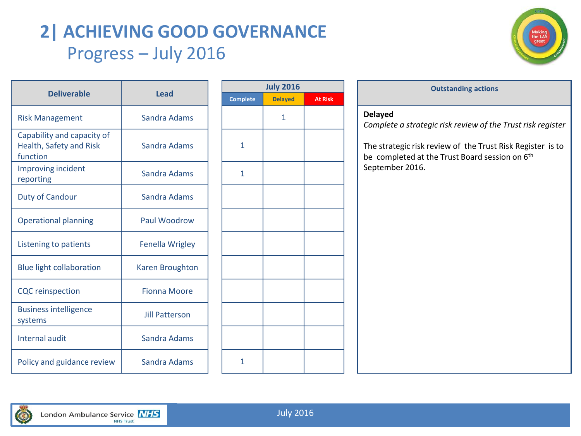# **2| ACHIEVING GOOD GOVERNANCE** Progress – July 2016



|                                                                   |                        |                 | <b>July 2</b> |
|-------------------------------------------------------------------|------------------------|-----------------|---------------|
| <b>Deliverable</b>                                                | <b>Lead</b>            | <b>Complete</b> | <b>Delay</b>  |
| <b>Risk Management</b>                                            | Sandra Adams           |                 | 1             |
| Capability and capacity of<br>Health, Safety and Risk<br>function | <b>Sandra Adams</b>    | $\mathbf{1}$    |               |
| Improving incident<br>reporting                                   | <b>Sandra Adams</b>    | $\mathbf{1}$    |               |
| <b>Duty of Candour</b>                                            | <b>Sandra Adams</b>    |                 |               |
| <b>Operational planning</b>                                       | <b>Paul Woodrow</b>    |                 |               |
| Listening to patients                                             | <b>Fenella Wrigley</b> |                 |               |
| <b>Blue light collaboration</b>                                   | <b>Karen Broughton</b> |                 |               |
| <b>CQC</b> reinspection                                           | <b>Fionna Moore</b>    |                 |               |
| <b>Business intelligence</b><br>systems                           | <b>Jill Patterson</b>  |                 |               |
| <b>Internal audit</b>                                             | <b>Sandra Adams</b>    |                 |               |
| Policy and guidance review                                        | Sandra Adams           | 1               |               |

| <b>July 2016</b> |                |                |  |  |  |  |  |  |  |
|------------------|----------------|----------------|--|--|--|--|--|--|--|
| Complete         | <b>Delayed</b> | <b>At Risk</b> |  |  |  |  |  |  |  |
|                  | $\mathbf{1}$   |                |  |  |  |  |  |  |  |
| $\mathbf{1}$     |                |                |  |  |  |  |  |  |  |
| $\mathbf 1$      |                |                |  |  |  |  |  |  |  |
|                  |                |                |  |  |  |  |  |  |  |
|                  |                |                |  |  |  |  |  |  |  |
|                  |                |                |  |  |  |  |  |  |  |
|                  |                |                |  |  |  |  |  |  |  |
|                  |                |                |  |  |  |  |  |  |  |
|                  |                |                |  |  |  |  |  |  |  |
|                  |                |                |  |  |  |  |  |  |  |
| $\mathbf{1}$     |                |                |  |  |  |  |  |  |  |

### **Outstanding** actions **Delayed** *Complete a strategic risk review of the Trust risk register* The strategic risk review of the Trust Risk Register is to be completed at the Trust Board session on 6<sup>th</sup> September 2016.

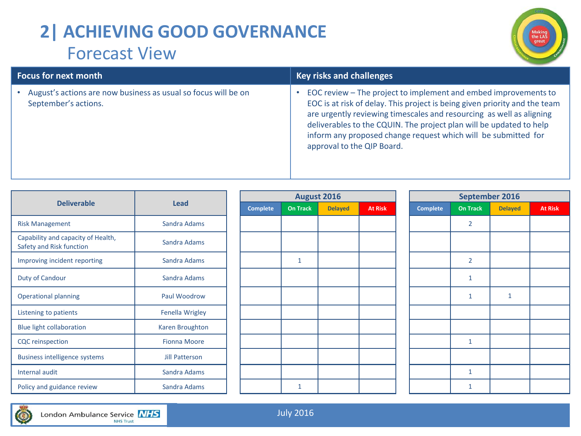# **2| ACHIEVING GOOD GOVERNANCE** Forecast View



| <b>Focus for next month</b>                                                              | <b>Key risks and challenges</b>                                                                                                                                                                                                                                                                                                                                                              |  |  |  |  |  |  |
|------------------------------------------------------------------------------------------|----------------------------------------------------------------------------------------------------------------------------------------------------------------------------------------------------------------------------------------------------------------------------------------------------------------------------------------------------------------------------------------------|--|--|--|--|--|--|
| • August's actions are now business as usual so focus will be on<br>September's actions. | EOC review - The project to implement and embed improvements to<br>EOC is at risk of delay. This project is being given priority and the team<br>are urgently reviewing timescales and resourcing as well as aligning<br>deliverables to the CQUIN. The project plan will be updated to help<br>inform any proposed change request which will be submitted for<br>approval to the QIP Board. |  |  |  |  |  |  |

|                                                                |                     |  |                 | <b>August 2016</b> |                | September 2016 |  |                 |                 |                |                |
|----------------------------------------------------------------|---------------------|--|-----------------|--------------------|----------------|----------------|--|-----------------|-----------------|----------------|----------------|
| <b>Deliverable</b>                                             | <b>Lead</b>         |  | <b>Complete</b> | <b>On Track</b>    | <b>Delayed</b> | <b>At Risk</b> |  | <b>Complete</b> | <b>On Track</b> | <b>Delayed</b> | <b>At Risk</b> |
| <b>Risk Management</b>                                         | Sandra Adams        |  |                 |                    |                |                |  |                 | $\overline{2}$  |                |                |
| Capability and capacity of Health,<br>Safety and Risk function | Sandra Adams        |  |                 |                    |                |                |  |                 |                 |                |                |
| Improving incident reporting                                   | Sandra Adams        |  |                 | $\mathbf{1}$       |                |                |  |                 | $\overline{2}$  |                |                |
| Duty of Candour                                                | Sandra Adams        |  |                 |                    |                |                |  |                 |                 |                |                |
| <b>Operational planning</b>                                    | Paul Woodrow        |  |                 |                    |                |                |  |                 |                 |                |                |
| Listening to patients                                          | Fenella Wrigley     |  |                 |                    |                |                |  |                 |                 |                |                |
| <b>Blue light collaboration</b>                                | Karen Broughton     |  |                 |                    |                |                |  |                 |                 |                |                |
| <b>CQC</b> reinspection                                        | <b>Fionna Moore</b> |  |                 |                    |                |                |  |                 |                 |                |                |
| <b>Business intelligence systems</b>                           | Jill Patterson      |  |                 |                    |                |                |  |                 |                 |                |                |
| Internal audit                                                 | Sandra Adams        |  |                 |                    |                |                |  |                 |                 |                |                |
| Policy and guidance review                                     | Sandra Adams        |  |                 | $\mathbf{1}$       |                |                |  |                 | 1               |                |                |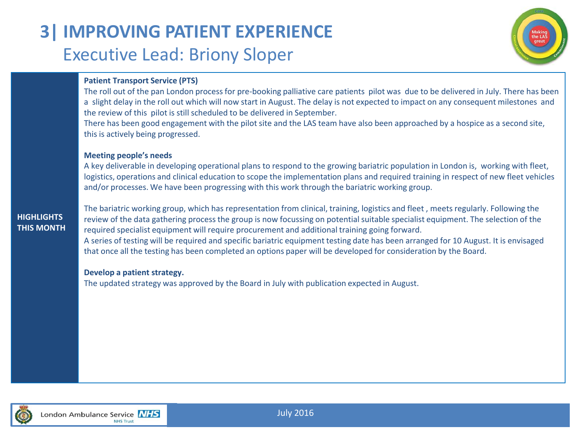# **3| IMPROVING PATIENT EXPERIENCE** Executive Lead: Briony Sloper



### **Patient Transport Service (PTS)**

The roll out of the pan London process for pre-booking palliative care patients pilot was due to be delivered in July. There has been a slight delay in the roll out which will now start in August. The delay is not expected to impact on any consequent milestones and the review of this pilot is still scheduled to be delivered in September.

There has been good engagement with the pilot site and the LAS team have also been approached by a hospice as a second site, this is actively being progressed.

#### **Meeting people's needs**

A key deliverable in developing operational plans to respond to the growing bariatric population in London is, working with fleet, logistics, operations and clinical education to scope the implementation plans and required training in respect of new fleet vehicles and/or processes. We have been progressing with this work through the bariatric working group.

### **HIGHLIGHTS THIS MONTH**

The bariatric working group, which has representation from clinical, training, logistics and fleet , meets regularly. Following the review of the data gathering process the group is now focussing on potential suitable specialist equipment. The selection of the required specialist equipment will require procurement and additional training going forward. A series of testing will be required and specific bariatric equipment testing date has been arranged for 10 August. It is envisaged that once all the testing has been completed an options paper will be developed for consideration by the Board.

#### **Develop a patient strategy.**

The updated strategy was approved by the Board in July with publication expected in August.

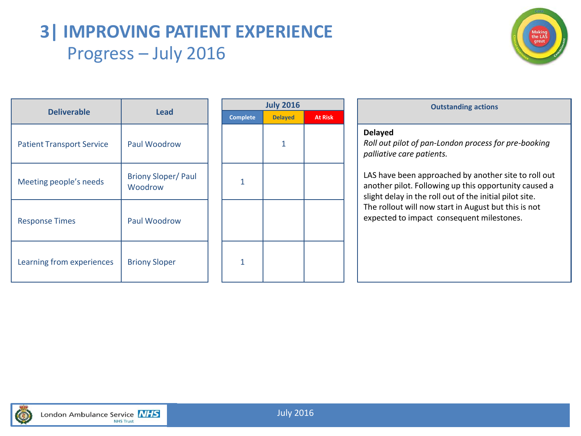### **3| IMPROVING PATIENT EXPERIENCE** Progress – July 2016



| <b>Deliverable</b><br><b>Lead</b> |                                      |              | July 2 |
|-----------------------------------|--------------------------------------|--------------|--------|
|                                   | <b>Complete</b>                      | <b>Delay</b> |        |
| <b>Patient Transport Service</b>  | Paul Woodrow                         |              | 1      |
| Meeting people's needs            | <b>Briony Sloper/Paul</b><br>Woodrow | 1            |        |
| <b>Response Times</b>             | Paul Woodrow                         |              |        |
| Learning from experiences         | <b>Briony Sloper</b>                 | 1            |        |

| <b>Outstanding actions</b>                                                                                                 |                | <b>July 2016</b> |                 |
|----------------------------------------------------------------------------------------------------------------------------|----------------|------------------|-----------------|
|                                                                                                                            | <b>At Risk</b> | <b>Delayed</b>   | <b>Complete</b> |
| <b>Delayed</b><br>Roll out pilot of pan-London process fo<br>palliative care patients.                                     |                |                  |                 |
| LAS have been approached by anothe<br>another pilot. Following up this oppor<br>slight delay in the roll out of the initia |                |                  | 1               |
| The rollout will now start in August be<br>expected to impact consequent miles                                             |                |                  |                 |
|                                                                                                                            |                |                  |                 |

| <b>Outstanding actions</b> |  |
|----------------------------|--|

#### **Delayed**

*Roll out pilot of pan-London process for pre-booking palliative care patients.*

LAS have been approached by another site to roll out another pilot. Following up this opportunity caused a slight delay in the roll out of the initial pilot site. The rollout will now start in August but this is not expected to impact consequent milestones.

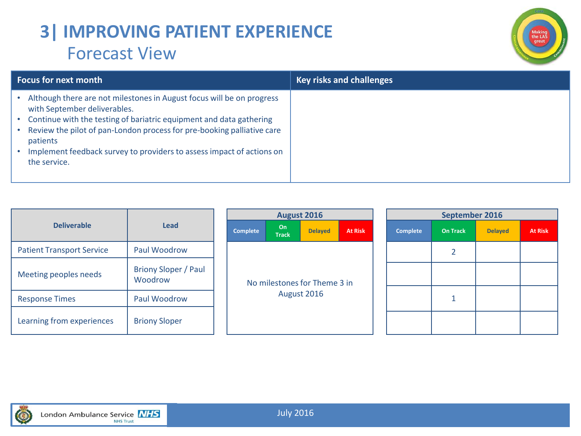### **3| IMPROVING PATIENT EXPERIENCE** Forecast View



| <b>Focus for next month</b>                                                                                                                                                                                                                                                                                                                                 | <b>Key risks and challenges</b> |
|-------------------------------------------------------------------------------------------------------------------------------------------------------------------------------------------------------------------------------------------------------------------------------------------------------------------------------------------------------------|---------------------------------|
| Although there are not milestones in August focus will be on progress<br>with September deliverables.<br>Continue with the testing of bariatric equipment and data gathering<br>Review the pilot of pan-London process for pre-booking palliative care<br>patients<br>Implement feedback survey to providers to assess impact of actions on<br>the service. |                                 |

|                                  |                                        | August 2016 |                                             |                    |                |                | <b>Sep</b>      |                |
|----------------------------------|----------------------------------------|-------------|---------------------------------------------|--------------------|----------------|----------------|-----------------|----------------|
| <b>Deliverable</b>               | <b>Lead</b>                            |             | <b>Complete</b>                             | On<br><b>Track</b> | <b>Delayed</b> | <b>At Risk</b> | <b>Complete</b> | On Tr          |
| <b>Patient Transport Service</b> | Paul Woodrow                           |             |                                             |                    |                |                |                 | $\overline{2}$ |
| Meeting peoples needs            | <b>Briony Sloper / Paul</b><br>Woodrow |             | No milestones for Theme 3 in<br>August 2016 |                    |                |                |                 |                |
| <b>Response Times</b>            | Paul Woodrow                           |             |                                             |                    |                |                |                 | $\mathbf{1}$   |
| Learning from experiences        | <b>Briony Sloper</b>                   |             |                                             |                    |                |                |                 |                |

| <b>August 2016</b>                          |                    |                |                |  |  |  |  |
|---------------------------------------------|--------------------|----------------|----------------|--|--|--|--|
| <b>Complete</b>                             | On<br><b>Track</b> | <b>Delayed</b> | <b>At Risk</b> |  |  |  |  |
|                                             |                    |                |                |  |  |  |  |
| No milestones for Theme 3 in<br>August 2016 |                    |                |                |  |  |  |  |
|                                             |                    |                |                |  |  |  |  |

|                                      | <b>August 2016</b> |                | September 2016  |                 |                |                |  |
|--------------------------------------|--------------------|----------------|-----------------|-----------------|----------------|----------------|--|
| On<br><b>Track</b>                   | <b>Delayed</b>     | <b>At Risk</b> | <b>Complete</b> | <b>On Track</b> | <b>Delayed</b> | <b>At Risk</b> |  |
|                                      |                    |                |                 | $\overline{2}$  |                |                |  |
|                                      |                    |                |                 |                 |                |                |  |
| stones for Theme 3 in<br>August 2016 |                    |                | 1               |                 |                |                |  |
|                                      |                    |                |                 |                 |                |                |  |

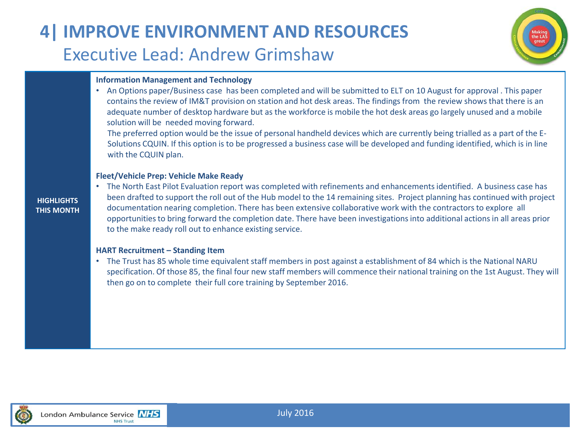# **4| IMPROVE ENVIRONMENT AND RESOURCES** Executive Lead: Andrew Grimshaw



#### **Information Management and Technology**

• An Options paper/Business case has been completed and will be submitted to ELT on 10 August for approval . This paper contains the review of IM&T provision on station and hot desk areas. The findings from the review shows that there is an adequate number of desktop hardware but as the workforce is mobile the hot desk areas go largely unused and a mobile solution will be needed moving forward.

The preferred option would be the issue of personal handheld devices which are currently being trialled as a part of the E-Solutions CQUIN. If this option is to be progressed a business case will be developed and funding identified, which is in line with the CQUIN plan.

#### **Fleet/Vehicle Prep: Vehicle Make Ready**

#### **HIGHLIGHTS THIS MONTH**

• The North East Pilot Evaluation report was completed with refinements and enhancements identified. A business case has been drafted to support the roll out of the Hub model to the 14 remaining sites. Project planning has continued with project documentation nearing completion. There has been extensive collaborative work with the contractors to explore all opportunities to bring forward the completion date. There have been investigations into additional actions in all areas prior to the make ready roll out to enhance existing service.

#### **HART Recruitment – Standing Item**

• The Trust has 85 whole time equivalent staff members in post against a establishment of 84 which is the National NARU specification. Of those 85, the final four new staff members will commence their national training on the 1st August. They will then go on to complete their full core training by September 2016.

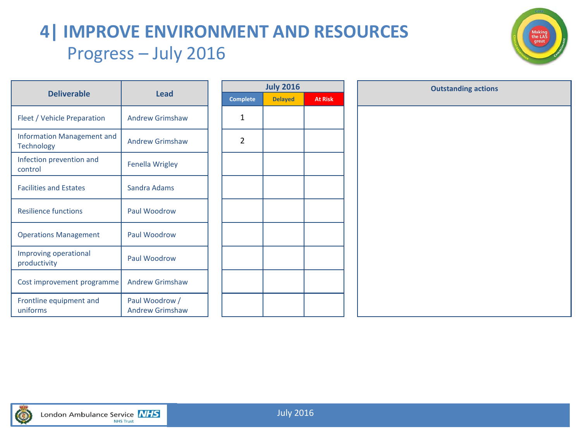# **4| IMPROVE ENVIRONMENT AND RESOURCES** Progress – July 2016



| <b>Deliverable</b>                              | Lead                                     |      |
|-------------------------------------------------|------------------------------------------|------|
|                                                 |                                          | Comp |
| Fleet / Vehicle Preparation                     | <b>Andrew Grimshaw</b>                   | 1    |
| Information Management and<br><b>Technology</b> | Andrew Grimshaw                          | 2    |
| Infection prevention and<br>control             | <b>Fenella Wrigley</b>                   |      |
| <b>Facilities and Estates</b>                   | Sandra Adams                             |      |
| <b>Resilience functions</b>                     | Paul Woodrow                             |      |
| <b>Operations Management</b>                    | Paul Woodrow                             |      |
| Improving operational<br>productivity           | Paul Woodrow                             |      |
| Cost improvement programme                      | <b>Andrew Grimshaw</b>                   |      |
| Frontline equipment and<br>uniforms             | Paul Woodrow /<br><b>Andrew Grimshaw</b> |      |
|                                                 |                                          |      |

|                 | <b>July 2016</b> |                |  |
|-----------------|------------------|----------------|--|
| <b>Complete</b> | <b>Delayed</b>   | <b>At Risk</b> |  |
| $\mathbf{1}$    |                  |                |  |
| $\mathbf 2$     |                  |                |  |
|                 |                  |                |  |
|                 |                  |                |  |
|                 |                  |                |  |
|                 |                  |                |  |
|                 |                  |                |  |
|                 |                  |                |  |
|                 |                  |                |  |

| <b>July 2016</b> |                | <b>Outstanding actions</b> |  |
|------------------|----------------|----------------------------|--|
| <b>Delayed</b>   | <b>At Risk</b> |                            |  |
|                  |                |                            |  |
|                  |                |                            |  |
|                  |                |                            |  |
|                  |                |                            |  |
|                  |                |                            |  |
|                  |                |                            |  |
|                  |                |                            |  |
|                  |                |                            |  |
|                  |                |                            |  |
|                  |                |                            |  |
|                  |                |                            |  |
|                  |                |                            |  |
|                  |                |                            |  |
|                  |                |                            |  |
|                  |                |                            |  |
|                  |                |                            |  |
|                  |                |                            |  |

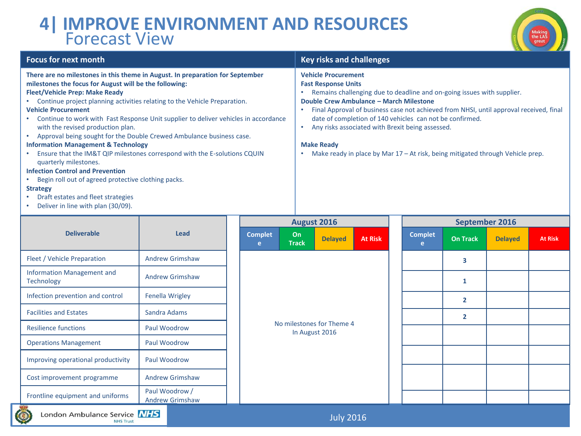### **4| IMPROVE ENVIRONMENT AND RESOURCES** Forecast View

**NHS Trust** 



| <b>Focus for next month</b>                                                                                                                                                                                                                                                                                                                                                                                                                                                                                                                                                                                                                                                                                                                                                                                                                                                              | <b>Key risks and challenges</b>                                                                                                                                                                                                                                                                                                                                                                                                                                                                  |
|------------------------------------------------------------------------------------------------------------------------------------------------------------------------------------------------------------------------------------------------------------------------------------------------------------------------------------------------------------------------------------------------------------------------------------------------------------------------------------------------------------------------------------------------------------------------------------------------------------------------------------------------------------------------------------------------------------------------------------------------------------------------------------------------------------------------------------------------------------------------------------------|--------------------------------------------------------------------------------------------------------------------------------------------------------------------------------------------------------------------------------------------------------------------------------------------------------------------------------------------------------------------------------------------------------------------------------------------------------------------------------------------------|
| There are no milestones in this theme in August. In preparation for September<br>milestones the focus for August will be the following:<br><b>Fleet/Vehicle Prep: Make Ready</b><br>• Continue project planning activities relating to the Vehicle Preparation.<br><b>Vehicle Procurement</b><br>• Continue to work with Fast Response Unit supplier to deliver vehicles in accordance<br>with the revised production plan.<br>Approval being sought for the Double Crewed Ambulance business case.<br>$\bullet$<br><b>Information Management &amp; Technology</b><br>Ensure that the IM&T QIP milestones correspond with the E-solutions CQUIN<br>$\bullet$<br>quarterly milestones.<br><b>Infection Control and Prevention</b><br>• Begin roll out of agreed protective clothing packs.<br><b>Strategy</b><br>Draft estates and fleet strategies<br>Deliver in line with plan (30/09). | <b>Vehicle Procurement</b><br><b>Fast Response Units</b><br>Remains challenging due to deadline and on-going issues with supplier.<br>Double Crew Ambulance - March Milestone<br>Final Approval of business case not achieved from NHSI, until approval received, final<br>date of completion of 140 vehicles can not be confirmed.<br>Any risks associated with Brexit being assessed.<br><b>Make Ready</b><br>Make ready in place by Mar $17 - At$ risk, being mitigated through Vehicle prep. |

|                                                                    |                                          |                     |                                             | <b>August 2016</b> |                |                     |                 | September 2016 |                |
|--------------------------------------------------------------------|------------------------------------------|---------------------|---------------------------------------------|--------------------|----------------|---------------------|-----------------|----------------|----------------|
| <b>Deliverable</b>                                                 | Lead                                     | <b>Complet</b><br>e | On<br><b>Track</b>                          | <b>Delayed</b>     | <b>At Risk</b> | <b>Complet</b><br>e | <b>On Track</b> | <b>Delayed</b> | <b>At Risk</b> |
| Fleet / Vehicle Preparation                                        | <b>Andrew Grimshaw</b>                   |                     |                                             |                    |                |                     | 3               |                |                |
| <b>Information Management and</b><br><b>Technology</b>             | <b>Andrew Grimshaw</b>                   |                     |                                             |                    |                |                     | $\mathbf{1}$    |                |                |
| Infection prevention and control                                   | Fenella Wrigley                          |                     | No milestones for Theme 4<br>In August 2016 |                    |                |                     | $\overline{2}$  |                |                |
| <b>Facilities and Estates</b>                                      | Sandra Adams                             |                     |                                             |                    |                |                     | $\overline{2}$  |                |                |
| <b>Resilience functions</b>                                        | Paul Woodrow                             |                     |                                             |                    |                |                     |                 |                |                |
| <b>Operations Management</b>                                       | Paul Woodrow                             |                     |                                             |                    |                |                     |                 |                |                |
| Improving operational productivity                                 | Paul Woodrow                             |                     |                                             |                    |                |                     |                 |                |                |
| Cost improvement programme                                         | <b>Andrew Grimshaw</b>                   |                     |                                             |                    |                |                     |                 |                |                |
| Frontline equipment and uniforms                                   | Paul Woodrow /<br><b>Andrew Grimshaw</b> |                     |                                             |                    |                |                     |                 |                |                |
| London Ambulance Service NHS<br>$\circledcirc$<br><b>NHS Trust</b> |                                          |                     | <b>July 2016</b>                            |                    |                |                     |                 |                |                |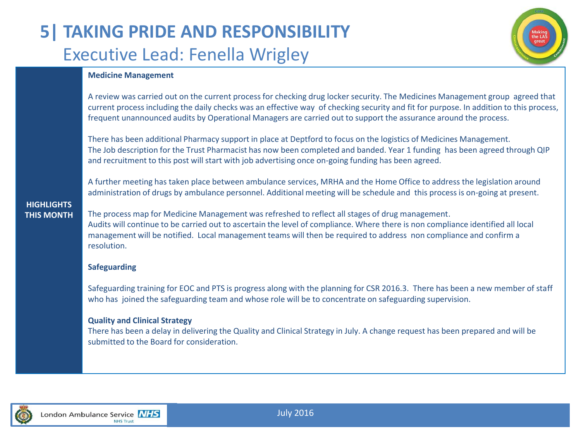## **5| TAKING PRIDE AND RESPONSIBILITY** Executive Lead: Fenella Wrigley



### **Medicine Management**

A review was carried out on the current process for checking drug locker security. The Medicines Management group agreed that current process including the daily checks was an effective way of checking security and fit for purpose. In addition to this process, frequent unannounced audits by Operational Managers are carried out to support the assurance around the process.

There has been additional Pharmacy support in place at Deptford to focus on the logistics of Medicines Management. The Job description for the Trust Pharmacist has now been completed and banded. Year 1 funding has been agreed through QIP and recruitment to this post will start with job advertising once on-going funding has been agreed.

A further meeting has taken place between ambulance services, MRHA and the Home Office to address the legislation around administration of drugs by ambulance personnel. Additional meeting will be schedule and this process is on-going at present.

#### **HIGHLIGHTS THIS MONTH**

The process map for Medicine Management was refreshed to reflect all stages of drug management. Audits will continue to be carried out to ascertain the level of compliance. Where there is non compliance identified all local management will be notified. Local management teams will then be required to address non compliance and confirm a resolution.

### **Safeguarding**

Safeguarding training for EOC and PTS is progress along with the planning for CSR 2016.3. There has been a new member of staff who has joined the safeguarding team and whose role will be to concentrate on safeguarding supervision.

### **Quality and Clinical Strategy**

There has been a delay in delivering the Quality and Clinical Strategy in July. A change request has been prepared and will be submitted to the Board for consideration.

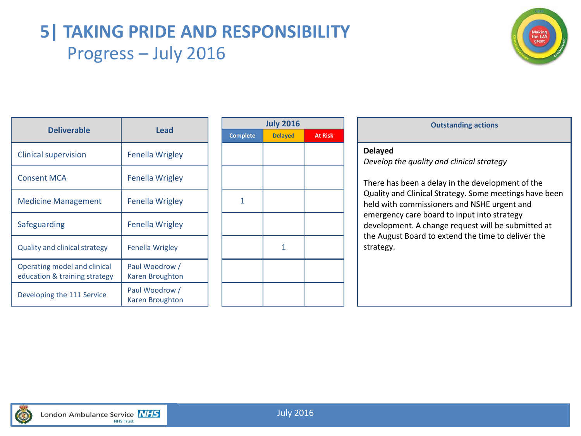### **5| TAKING PRIDE AND RESPONSIBILITY** Progress – July 2016



|                                                               | Lead                              |  | <b>July 2016</b> |                |                |                           |
|---------------------------------------------------------------|-----------------------------------|--|------------------|----------------|----------------|---------------------------|
| <b>Deliverable</b>                                            |                                   |  | <b>Complete</b>  | <b>Delayed</b> | <b>At Risk</b> |                           |
| <b>Clinical supervision</b>                                   | <b>Fenella Wrigley</b>            |  |                  |                |                | <b>Delayed</b><br>Develop |
| <b>Consent MCA</b>                                            | <b>Fenella Wrigley</b>            |  |                  |                |                | There ha                  |
| <b>Medicine Management</b>                                    | <b>Fenella Wrigley</b>            |  | 1                |                |                | Quality a<br>held wit     |
| Safeguarding                                                  | <b>Fenella Wrigley</b>            |  |                  |                |                | emerger<br>develop        |
| <b>Quality and clinical strategy</b>                          | Fenella Wrigley                   |  |                  | 1              |                | the Augu<br>strategy      |
| Operating model and clinical<br>education & training strategy | Paul Woodrow /<br>Karen Broughton |  |                  |                |                |                           |
| Developing the 111 Service                                    | Paul Woodrow /<br>Karen Broughton |  |                  |                |                |                           |

| <b>Outstanding actions</b>                                                                                                                                                                           | <b>July 2016</b> |                |                 |
|------------------------------------------------------------------------------------------------------------------------------------------------------------------------------------------------------|------------------|----------------|-----------------|
|                                                                                                                                                                                                      | <b>At Risk</b>   | <b>Delayed</b> | <b>Complete</b> |
| <b>Delayed</b><br>Develop the quality and clinical strate<br>There has been a delay in the develop                                                                                                   |                  |                |                 |
| Quality and Clinical Strategy. Some m<br>held with commissioners and NSHE ur<br>emergency care board to input into st<br>development. A change request will b<br>the August Board to extend the time |                  |                | 1               |
| strategy.                                                                                                                                                                                            |                  | 1              |                 |
|                                                                                                                                                                                                      |                  |                |                 |
|                                                                                                                                                                                                      |                  |                |                 |

| <b>Outstanding actions</b> |  |
|----------------------------|--|
|                            |  |

*Develop the quality and clinical strategy*

There has been a delay in the development of the Quality and Clinical Strategy. Some meetings have been held with commissioners and NSHE urgent and emergency care board to input into strategy development. A change request will be submitted at the August Board to extend the time to deliver the strategy.